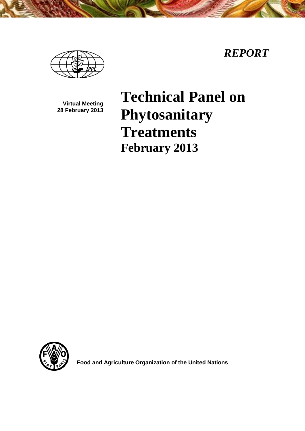



**Virtual Meeting 28 February 2013**

# **Technical Panel on Phytosanitary Treatments February 2013**



**Food and Agriculture Organization of the United Nations**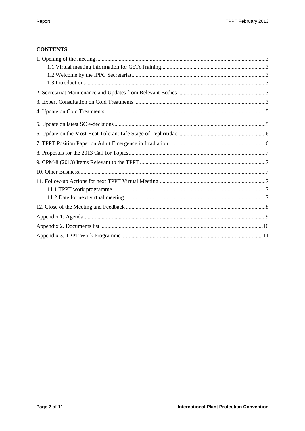# **CONTENTS**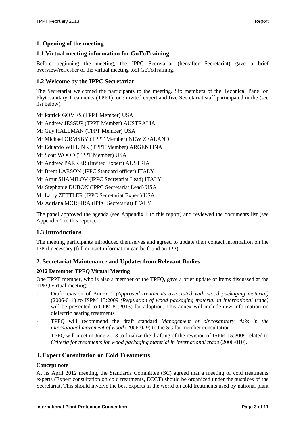# <span id="page-2-0"></span>**1. Opening of the meeting**

#### <span id="page-2-1"></span>**1.1 Virtual meeting information for GoToTraining**

Before beginning the meeting, the IPPC Secretariat (hereafter Secretariat) gave a brief overview/refresher of the virtual meeting tool GoToTraining.

### <span id="page-2-2"></span>**1.2 Welcome by the IPPC Secretariat**

The Secretariat welcomed the participants to the meeting. Six members of the Technical Panel on Phytosanitary Treatments (TPPT), one invited expert and five Secretariat staff participated in the (see list below).

Mr Patrick GOMES (TPPT Member) USA Mr Andrew JESSUP (TPPT Member) AUSTRALIA Mr Guy HALLMAN (TPPT Member) USA Mr Michael ORMSBY (TPPT Member) NEW ZEALAND Mr Eduardo WILLINK (TPPT Member) ARGENTINA Mr Scott WOOD (TPPT Member) USA Mr Andrew PARKER (Invited Expert) AUSTRIA Mr Brent LARSON (IPPC Standard officer) ITALY Mr Artur SHAMILOV (IPPC Secretariat Lead) ITALY Ms Stephanie DUBON (IPPC Secretariat Lead) USA Mr Larry ZETTLER (IPPC Secretariat Expert) USA Ms Adriana MOREIRA (IPPC Secretariat) ITALY

The panel approved the agenda (see Appendix 1 to this report) and reviewed the documents list (see Appendix 2 to this report).

#### <span id="page-2-3"></span>**1.3 Introductions**

The meeting participants introduced themselves and agreed to update their contact information on the IPP if necessary (full contact information can be found on IPP).

#### <span id="page-2-4"></span>**2. Secretariat Maintenance and Updates from Relevant Bodies**

#### **2012 December TPFQ Virtual Meeting**

One TPPT member, who is also a member of the TPFQ, gave a brief update of items discussed at the TPFQ virtual meeting:

- Draft revision of Annex 1 *(Approved treatments associated with wood packaging material)* (2006-011) to ISPM 15:2009 *(Regulation of wood packaging material in international trade)* will be presented to CPM-8 (2013) for adoption. This annex will include new information on dielectric heating treatments
- TPFQ will recommend the draft standard *Management of phytosanitary risks in the international movement of wood* (2006-029) to the SC for member consultation
- TPFQ will meet in June 2013 to finalize the drafting of the revision of ISPM 15:2009 related to *Criteria for treatments for wood packaging material in international trade* (2006-010).

#### <span id="page-2-5"></span>**3. Expert Consultation on Cold Treatments**

#### **Concept note**

At its April 2012 meeting, the Standards Committee (SC) agreed that a meeting of cold treatments experts (Expert consultation on cold treatments, ECCT) should be organized under the auspices of the Secretariat. This should involve the best experts in the world on cold treatments used by national plant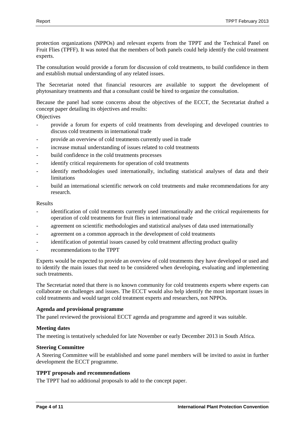protection organizations (NPPOs) and relevant experts from the TPPT and the Technical Panel on Fruit Flies (TPFF). It was noted that the members of both panels could help identify the cold treatment experts.

The consultation would provide a forum for discussion of cold treatments, to build confidence in them and establish mutual understanding of any related issues.

The Secretariat noted that financial resources are available to support the development of phytosanitary treatments and that a consultant could be hired to organize the consultation.

Because the panel had some concerns about the objectives of the ECCT, the Secretariat drafted a concept paper detailing its objectives and results:

**Objectives** 

- provide a forum for experts of cold treatments from developing and developed countries to discuss cold treatments in international trade
- provide an overview of cold treatments currently used in trade
- increase mutual understanding of issues related to cold treatments
- build confidence in the cold treatments processes
- identify critical requirements for operation of cold treatments
- identify methodologies used internationally, including statistical analyses of data and their limitations
- build an international scientific network on cold treatments and make recommendations for any research.

#### Results

- identification of cold treatments currently used internationally and the critical requirements for operation of cold treatments for fruit flies in international trade
- agreement on scientific methodologies and statistical analyses of data used internationally
- agreement on a common approach in the development of cold treatments
- identification of potential issues caused by cold treatment affecting product quality
- recommendations to the TPPT

Experts would be expected to provide an overview of cold treatments they have developed or used and to identify the main issues that need to be considered when developing, evaluating and implementing such treatments.

The Secretariat noted that there is no known community for cold treatments experts where experts can collaborate on challenges and issues. The ECCT would also help identify the most important issues in cold treatments and would target cold treatment experts and researchers, not NPPOs.

#### **Agenda and provisional programme**

The panel reviewed the provisional ECCT agenda and programme and agreed it was suitable.

#### **Meeting dates**

The meeting is tentatively scheduled for late November or early December 2013 in South Africa.

#### **Steering Committee**

A Steering Committee will be established and some panel members will be invited to assist in further development the ECCT programme.

#### **TPPT proposals and recommendations**

The TPPT had no additional proposals to add to the concept paper.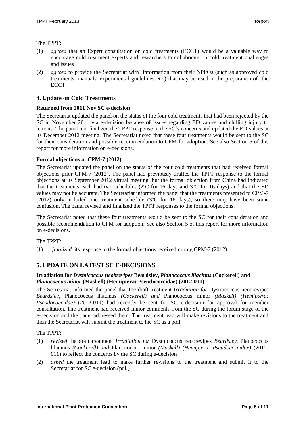#### The TPPT:

- (1) *agreed* that an Expert consultation on cold treatments (ECCT) would be a valuable way to encourage cold treatment experts and researchers to collaborate on cold treatment challenges and issues
- (2) *agreed* to provide the Secretariat with information from their NPPOs (such as approved cold treatments, manuals, experimental guidelines etc.) that may be used in the preparation of the ECCT.

#### <span id="page-4-0"></span>**4. Update on Cold Treatments**

#### **Returned from 2011 Nov SC e-decision**

The Secretariat updated the panel on the status of the four cold treatments that had been rejected by the SC in November 2011 via e-decision because of issues regarding ED values and chilling injury to lemons. The panel had finalized the TPPT response to the SC's concerns and updated the ED values at its December 2012 meeting. The Secretariat noted that these four treatments would be sent to the SC for their consideration and possible recommendation to CPM for adoption. See also Section 5 of this report for more information on e-decisions.

#### **Formal objections at CPM-7 (2012)**

The Secretariat updated the panel on the status of the four cold treatments that had received formal objections prior CPM-7 (2012). The panel had previously drafted the TPPT response to the formal objections at its September 2012 virtual meeting, but the formal objection from China had indicated that the treatments each had two schedules (2ºC for 16 days and 3ºC for 16 days) and that the ED values may not be accurate. The Secretariat informed the panel that the treatments presented to CPM-7 (2012) only included one treatment schedule ( $3^{\circ}$ C for 16 days), so there may have been some confusion. The panel revised and finalized the TPPT responses to the formal objections.

The Secretariat noted that these four treatments would be sent to the SC for their consideration and possible recommendation to CPM for adoption. See also Section 5 of this report for more information on e-decisions.

The TPPT:

(1) *finalized* its response to the formal objections received during CPM-7 (2012).

# <span id="page-4-1"></span>**5. UPDATE ON LATEST SC E-DECISIONS**

#### **Irradiation for** *Dysmicoccus neobrevipes* **Beardsley,** *Planococcus lilacinus* **(Cockerell) and**  *Planococcus minor* **(Maskell) (Hemiptera: Pseudococcidae) (2012-011)**

The Secretariat informed the panel that the draft treatment *Irradiation for* Dysmicoccus neobrevipes *Beardsley,* Planococcus lilacinus *(Cockerell) and* Planococcus minor *(Maskell) (Hemiptera: Pseudococcidae)* (2012-011) had recently be sent for SC e-decision for approval for member consultation. The treatment had received minor comments from the SC during the forum stage of the e-decision and the panel addressed them. The treatment lead will make revisions to the treatment and then the Secretariat will submit the treatment to the SC as a poll.

The TPPT:

- (1) *revised* the draft treatment *Irradiation for* Dysmicoccus neobrevipes *Beardsley,* Planococcus lilacinus *(Cockerell) and* Planococcus minor *(Maskell) (Hemiptera: Pseudococcidae)* (2012- 011) to reflect the concerns by the SC during e-decision
- (2) *asked* the treatment lead to make further revisions to the treatment and submit it to the Secretariat for SC e-decision (poll).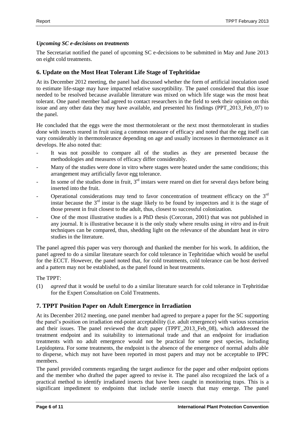### *Upcoming SC e-decisions on treatments*

The Secretariat notified the panel of upcoming SC e-decisions to be submitted in May and June 2013 on eight cold treatments.

# <span id="page-5-0"></span>**6. Update on the Most Heat Tolerant Life Stage of Tephritidae**

At its December 2012 meeting, the panel had discussed whether the form of artificial inoculation used to estimate life-stage may have impacted relative susceptibility. The panel considered that this issue needed to be resolved because available literature was mixed on which life stage was the most heat tolerant. One panel member had agreed to contact researchers in the field to seek their opinion on this issue and any other data they may have available, and presented his findings (PPT\_2013\_Feb\_07) to the panel.

He concluded that the eggs were the most thermotolerant or the next most thermotolerant in studies done with insects reared in fruit using a common measure of efficacy and noted that the egg itself can vary considerably in thermotolerance depending on age and usually increases in thermotolerance as it develops. He also noted that:

- It was not possible to compare all of the studies as they are presented because the methodologies and measures of efficacy differ considerably.
- Many of the studies were done in vitro where stages were heated under the same conditions; this arrangement may artificially favor egg tolerance.
- In some of the studies done in fruit,  $3<sup>rd</sup>$  instars were reared on diet for several days before being inserted into the fruit.
- Operational considerations may tend to favor concentration of treatment efficacy on the  $3<sup>rd</sup>$ instar because the  $3<sup>rd</sup>$  instar is the stage likely to be found by inspectors and it is the stage of those present in fruit closest to the adult, thus, closest to successful colonization.
- One of the most illustrative studies is a PhD thesis (Corcoran, 2001) that was not published in any journal. It is illustrative because it is the only study where results using *in vitro* and in-fruit techniques can be compared, thus, shedding light on the relevance of the abundant heat *in vitro* studies in the literature.

The panel agreed this paper was very thorough and thanked the member for his work. In addition, the panel agreed to do a similar literature search for cold tolerance in Tephritidae which would be useful for the ECCT. However, the panel noted that, for cold treatments, cold tolerance can be host derived and a pattern may not be established, as the panel found in heat treatments.

#### The TPPT:

(1) *agreed* that it would be useful to do a similar literature search for cold tolerance in Tephritidae for the Expert Consultation on Cold Treatments.

# <span id="page-5-1"></span>**7. TPPT Position Paper on Adult Emergence in Irradiation**

At its December 2012 meeting, one panel member had agreed to prepare a paper for the SC supporting the panel's position on irradiation end-point acceptability (i.e. adult emergence) with various scenarios and their issues. The panel reviewed the draft paper (TPPT\_2013\_Feb\_08), which addressed the treatment endpoint and its suitability to international trade and that an endpoint for irradiation treatments with no adult emergence would not be practical for some pest species, including Lepidoptera. For some treatments, the endpoint is the absence of the emergence of normal adults able to disperse, which may not have been reported in most papers and may not be acceptable to IPPC members.

The panel provided comments regarding the target audience for the paper and other endpoint options and the member who drafted the paper agreed to revise it. The panel also recognized the lack of a practical method to identify irradiated insects that have been caught in monitoring traps. This is a significant impediment to endpoints that include sterile insects that may emerge. The panel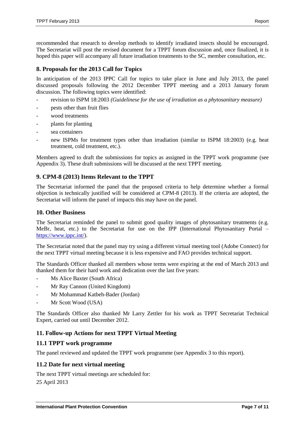recommended that research to develop methods to identify irradiated insects should be encouraged. The Secretariat will post the revised document for a TPPT forum discussion and, once finalized, it is hoped this paper will accompany all future irradiation treatments to the SC, member consultation, etc.

## <span id="page-6-0"></span>**8. Proposals for the 2013 Call for Topics**

In anticipation of the 2013 IPPC Call for topics to take place in June and July 2013, the panel discussed proposals following the 2012 December TPPT meeting and a 2013 January forum discussion. The following topics were identified:

- revision to ISPM 18:2003 *(Guidelinese for the use of irradiation as a phytosanitary measure)*
- pests other than fruit flies
- wood treatments
- plants for planting
- sea containers
- new ISPMs for treatment types other than irradiation (similar to ISPM 18:2003) (e.g. heat treatment, cold treatment, etc.).

Members agreed to draft the submissions for topics as assigned in the TPPT work programme (see Appendix 3). These draft submissions will be discussed at the next TPPT meeting.

# <span id="page-6-1"></span>**9. CPM-8 (2013) Items Relevant to the TPPT**

The Secretariat informed the panel that the proposed criteria to help determine whether a formal objection is technically justified will be considered at CPM-8 (2013). If the criteria are adopted, the Secretariat will inform the panel of impacts this may have on the panel.

#### <span id="page-6-2"></span>**10. Other Business**

The Secretariat reminded the panel to submit good quality images of phytosanitary treatments (e.g. MeBr, heat, etc.) to the Secretariat for use on the IPP (International Phytosanitary Portal – [https://www.ippc.int/\)](https://www.ippc.int/).

The Secretariat noted that the panel may try using a different virtual meeting tool (Adobe Connect) for the next TPPT virtual meeting because it is less expensive and FAO provides technical support.

The Standards Officer thanked all members whose terms were expiring at the end of March 2013 and thanked them for their hard work and dedication over the last five years:

- Ms Alice Baxter (South Africa)
- Mr Ray Cannon (United Kingdom)
- Mr Mohammad Katbeh-Bader (Jordan)
- Mr Scott Wood (USA)

The Standards Officer also thanked Mr Larry Zettler for his work as TPPT Secretariat Technical Expert, carried out until December 2012.

#### <span id="page-6-3"></span>**11. Follow-up Actions for next TPPT Virtual Meeting**

#### <span id="page-6-4"></span>**11.1 TPPT work programme**

The panel reviewed and updated the TPPT work programme (see Appendix 3 to this report).

#### <span id="page-6-5"></span>**11.2 Date for next virtual meeting**

The next TPPT virtual meetings are scheduled for: 25 April 2013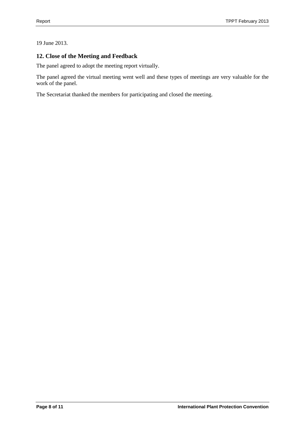## 19 June 2013.

# <span id="page-7-0"></span>**12. Close of the Meeting and Feedback**

The panel agreed to adopt the meeting report virtually.

The panel agreed the virtual meeting went well and these types of meetings are very valuable for the work of the panel.

The Secretariat thanked the members for participating and closed the meeting.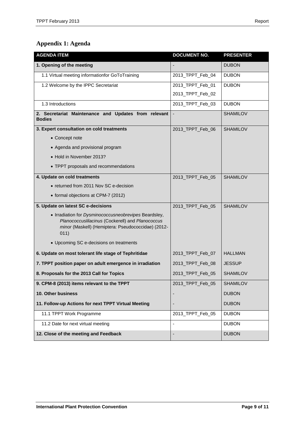# <span id="page-8-0"></span>**Appendix 1: Agenda**

| <b>AGENDA ITEM</b>                                                                                                                                                      | <b>DOCUMENT NO.</b> | <b>PRESENTER</b> |
|-------------------------------------------------------------------------------------------------------------------------------------------------------------------------|---------------------|------------------|
| 1. Opening of the meeting                                                                                                                                               |                     | <b>DUBON</b>     |
| 1.1 Virtual meeting informationfor GoToTraining                                                                                                                         | 2013_TPPT_Feb_04    | <b>DUBON</b>     |
| 1.2 Welcome by the IPPC Secretariat                                                                                                                                     | 2013_TPPT_Feb_01    | <b>DUBON</b>     |
|                                                                                                                                                                         | 2013_TPPT_Feb_02    |                  |
| 1.3 Introductions                                                                                                                                                       | 2013_TPPT_Feb_03    | <b>DUBON</b>     |
| 2. Secretariat Maintenance and Updates from relevant<br><b>Bodies</b>                                                                                                   |                     | <b>SHAMILOV</b>  |
| 3. Expert consultation on cold treatments                                                                                                                               | 2013_TPPT_Feb_06    | <b>SHAMILOV</b>  |
| • Concept note                                                                                                                                                          |                     |                  |
| • Agenda and provisional program                                                                                                                                        |                     |                  |
| • Hold in November 2013?                                                                                                                                                |                     |                  |
| • TPPT proposals and recommendations                                                                                                                                    |                     |                  |
| 4. Update on cold treatments                                                                                                                                            | 2013_TPPT_Feb_05    | <b>SHAMILOV</b>  |
| • returned from 2011 Nov SC e-decision                                                                                                                                  |                     |                  |
| • formal objections at CPM-7 (2012)                                                                                                                                     |                     |                  |
| 5. Update on latest SC e-decisions                                                                                                                                      | 2013_TPPT_Feb_05    | <b>SHAMILOV</b>  |
| • Irradiation for Dysminococcusneobrevipes Beardsley,<br>Planococcuslilacinus (Cockerell) and Planococcus<br>minor (Maskell) (Hemiptera: Pseudococcidae) (2012-<br>011) |                     |                  |
| • Upcoming SC e-decisions on treatments                                                                                                                                 |                     |                  |
| 6. Update on most tolerant life stage of Tephritidae                                                                                                                    | 2013_TPPT_Feb_07    | <b>HALLMAN</b>   |
| 7. TPPT position paper on adult emergence in irradiation                                                                                                                | 2013_TPPT_Feb_08    | <b>JESSUP</b>    |
| 8. Proposals for the 2013 Call for Topics                                                                                                                               | 2013_TPPT_Feb_05    | <b>SHAMILOV</b>  |
| 9. CPM-8 (2013) items relevant to the TPPT                                                                                                                              | 2013_TPPT_Feb_05    | <b>SHAMILOV</b>  |
| 10. Other business                                                                                                                                                      |                     | <b>DUBON</b>     |
| 11. Follow-up Actions for next TPPT Virtual Meeting                                                                                                                     |                     | <b>DUBON</b>     |
| 11.1 TPPT Work Programme                                                                                                                                                | 2013_TPPT_Feb_05    | <b>DUBON</b>     |
| 11.2 Date for next virtual meeting                                                                                                                                      |                     | <b>DUBON</b>     |
| 12. Close of the meeting and Feedback                                                                                                                                   |                     | <b>DUBON</b>     |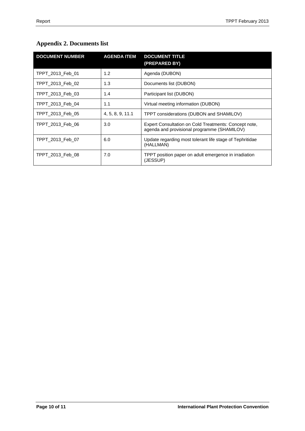# <span id="page-9-0"></span>**Appendix 2. Documents list**

| <b>DOCUMENT NUMBER</b> | <b>AGENDA ITEM</b> | <b>DOCUMENT TITLE</b><br>(PREPARED BY)                                                               |
|------------------------|--------------------|------------------------------------------------------------------------------------------------------|
| TPPT 2013 Feb 01       | 1.2                | Agenda (DUBON)                                                                                       |
| TPPT 2013 Feb 02       | 1.3                | Documents list (DUBON)                                                                               |
| TPPT 2013 Feb 03       | 1.4                | Participant list (DUBON)                                                                             |
| TPPT 2013 Feb 04       | 1.1                | Virtual meeting information (DUBON)                                                                  |
| TPPT 2013 Feb 05       | 4, 5, 8, 9, 11.1   | TPPT considerations (DUBON and SHAMILOV)                                                             |
| TPPT 2013 Feb 06       | 3.0                | Expert Consultation on Cold Treatments: Concept note,<br>agenda and provisional programme (SHAMILOV) |
| TPPT 2013 Feb 07       | 6.0                | Update regarding most tolerant life stage of Tephritidae<br>(HALLMAN)                                |
| TPPT 2013 Feb 08       | 7.0                | TPPT position paper on adult emergence in irradiation<br>(JESSUP)                                    |